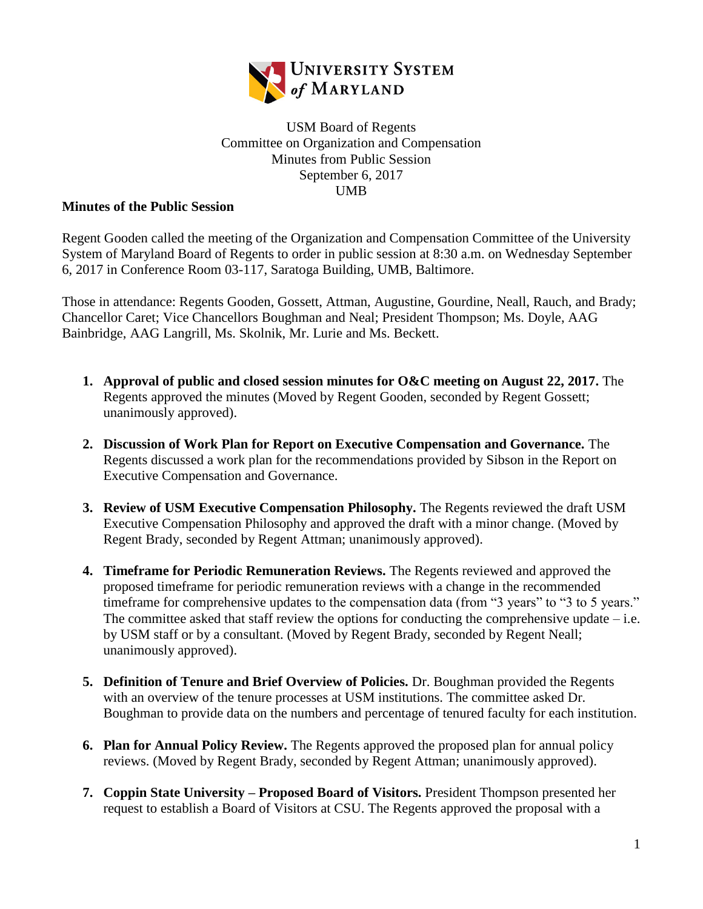

## USM Board of Regents Committee on Organization and Compensation Minutes from Public Session September 6, 2017 UMB

## **Minutes of the Public Session**

Regent Gooden called the meeting of the Organization and Compensation Committee of the University System of Maryland Board of Regents to order in public session at 8:30 a.m. on Wednesday September 6, 2017 in Conference Room 03-117, Saratoga Building, UMB, Baltimore.

Those in attendance: Regents Gooden, Gossett, Attman, Augustine, Gourdine, Neall, Rauch, and Brady; Chancellor Caret; Vice Chancellors Boughman and Neal; President Thompson; Ms. Doyle, AAG Bainbridge, AAG Langrill, Ms. Skolnik, Mr. Lurie and Ms. Beckett.

- **1. Approval of public and closed session minutes for O&C meeting on August 22, 2017.** The Regents approved the minutes (Moved by Regent Gooden, seconded by Regent Gossett; unanimously approved).
- **2. Discussion of Work Plan for Report on Executive Compensation and Governance.** The Regents discussed a work plan for the recommendations provided by Sibson in the Report on Executive Compensation and Governance.
- **3. Review of USM Executive Compensation Philosophy.** The Regents reviewed the draft USM Executive Compensation Philosophy and approved the draft with a minor change. (Moved by Regent Brady, seconded by Regent Attman; unanimously approved).
- **4. Timeframe for Periodic Remuneration Reviews.** The Regents reviewed and approved the proposed timeframe for periodic remuneration reviews with a change in the recommended timeframe for comprehensive updates to the compensation data (from "3 years" to "3 to 5 years." The committee asked that staff review the options for conducting the comprehensive update  $-$  i.e. by USM staff or by a consultant. (Moved by Regent Brady, seconded by Regent Neall; unanimously approved).
- **5. Definition of Tenure and Brief Overview of Policies.** Dr. Boughman provided the Regents with an overview of the tenure processes at USM institutions. The committee asked Dr. Boughman to provide data on the numbers and percentage of tenured faculty for each institution.
- **6. Plan for Annual Policy Review.** The Regents approved the proposed plan for annual policy reviews. (Moved by Regent Brady, seconded by Regent Attman; unanimously approved).
- **7. Coppin State University – Proposed Board of Visitors.** President Thompson presented her request to establish a Board of Visitors at CSU. The Regents approved the proposal with a